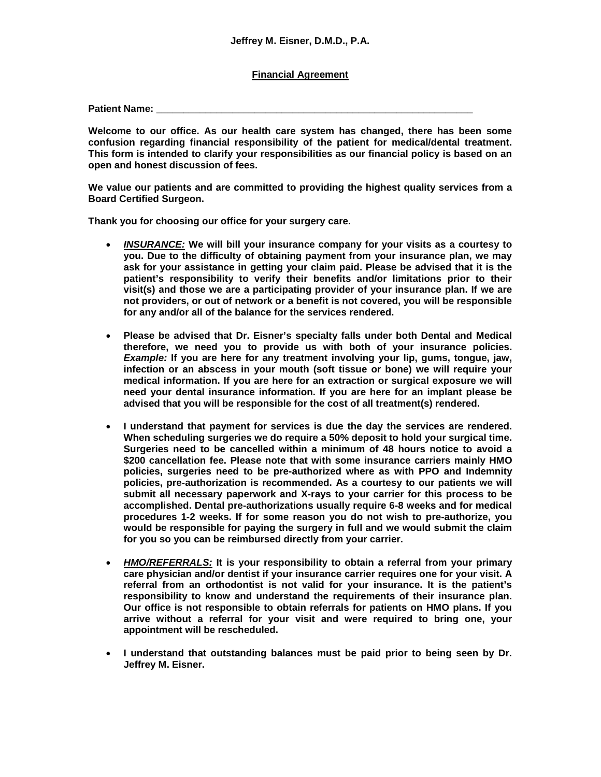## **Financial Agreement**

**Patient Name:** 

**Welcome to our office. As our health care system has changed, there has been some confusion regarding financial responsibility of the patient for medical/dental treatment. This form is intended to clarify your responsibilities as our financial policy is based on an open and honest discussion of fees.**

**We value our patients and are committed to providing the highest quality services from a Board Certified Surgeon.**

**Thank you for choosing our office for your surgery care.**

- *INSURANCE:* **We will bill your insurance company for your visits as a courtesy to you. Due to the difficulty of obtaining payment from your insurance plan, we may ask for your assistance in getting your claim paid. Please be advised that it is the patient's responsibility to verify their benefits and/or limitations prior to their visit(s) and those we are a participating provider of your insurance plan. If we are not providers, or out of network or a benefit is not covered, you will be responsible for any and/or all of the balance for the services rendered.**
- **Please be advised that Dr. Eisner's specialty falls under both Dental and Medical therefore, we need you to provide us with both of your insurance policies.**  *Example:* **If you are here for any treatment involving your lip, gums, tongue, jaw, infection or an abscess in your mouth (soft tissue or bone) we will require your medical information. If you are here for an extraction or surgical exposure we will need your dental insurance information. If you are here for an implant please be advised that you will be responsible for the cost of all treatment(s) rendered.**
- **I understand that payment for services is due the day the services are rendered. When scheduling surgeries we do require a 50% deposit to hold your surgical time. Surgeries need to be cancelled within a minimum of 48 hours notice to avoid a \$200 cancellation fee. Please note that with some insurance carriers mainly HMO policies, surgeries need to be pre-authorized where as with PPO and Indemnity policies, pre-authorization is recommended. As a courtesy to our patients we will submit all necessary paperwork and X-rays to your carrier for this process to be accomplished. Dental pre-authorizations usually require 6-8 weeks and for medical procedures 1-2 weeks. If for some reason you do not wish to pre-authorize, you would be responsible for paying the surgery in full and we would submit the claim for you so you can be reimbursed directly from your carrier.**
- *HMO/REFERRALS:* **It is your responsibility to obtain a referral from your primary care physician and/or dentist if your insurance carrier requires one for your visit. A referral from an orthodontist is not valid for your insurance. It is the patient's responsibility to know and understand the requirements of their insurance plan. Our office is not responsible to obtain referrals for patients on HMO plans. If you arrive without a referral for your visit and were required to bring one, your appointment will be rescheduled.**
- **I understand that outstanding balances must be paid prior to being seen by Dr. Jeffrey M. Eisner.**